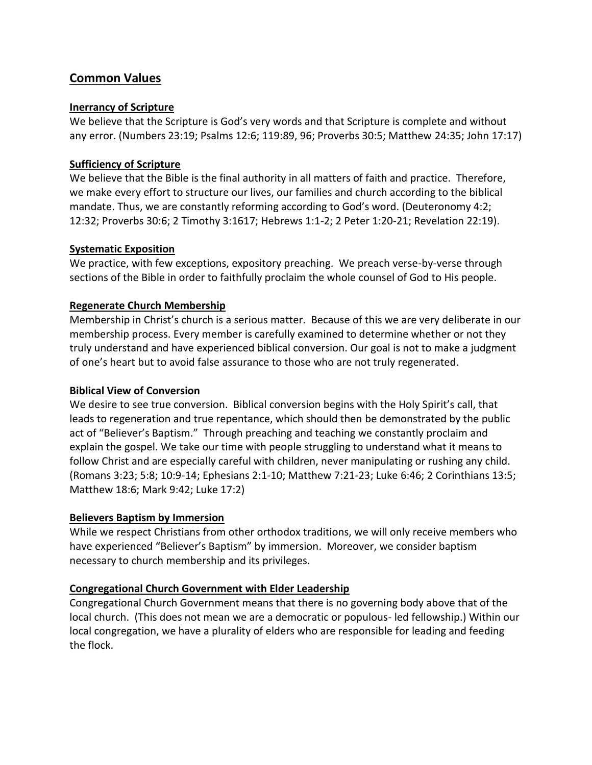# **Common Values**

## **Inerrancy of Scripture**

We believe that the Scripture is God's very words and that Scripture is complete and without any error. (Numbers 23:19; Psalms 12:6; 119:89, 96; Proverbs 30:5; Matthew 24:35; John 17:17)

# **Sufficiency of Scripture**

We believe that the Bible is the final authority in all matters of faith and practice. Therefore, we make every effort to structure our lives, our families and church according to the biblical mandate. Thus, we are constantly reforming according to God's word. (Deuteronomy 4:2; 12:32; Proverbs 30:6; 2 Timothy 3:1617; Hebrews 1:1-2; 2 Peter 1:20-21; Revelation 22:19).

## **Systematic Exposition**

We practice, with few exceptions, expository preaching. We preach verse-by-verse through sections of the Bible in order to faithfully proclaim the whole counsel of God to His people.

# **Regenerate Church Membership**

Membership in Christ's church is a serious matter. Because of this we are very deliberate in our membership process. Every member is carefully examined to determine whether or not they truly understand and have experienced biblical conversion. Our goal is not to make a judgment of one's heart but to avoid false assurance to those who are not truly regenerated.

# **Biblical View of Conversion**

We desire to see true conversion. Biblical conversion begins with the Holy Spirit's call, that leads to regeneration and true repentance, which should then be demonstrated by the public act of "Believer's Baptism." Through preaching and teaching we constantly proclaim and explain the gospel. We take our time with people struggling to understand what it means to follow Christ and are especially careful with children, never manipulating or rushing any child. (Romans 3:23; 5:8; 10:9-14; Ephesians 2:1-10; Matthew 7:21-23; Luke 6:46; 2 Corinthians 13:5; Matthew 18:6; Mark 9:42; Luke 17:2)

# **Believers Baptism by Immersion**

While we respect Christians from other orthodox traditions, we will only receive members who have experienced "Believer's Baptism" by immersion. Moreover, we consider baptism necessary to church membership and its privileges.

# **Congregational Church Government with Elder Leadership**

Congregational Church Government means that there is no governing body above that of the local church. (This does not mean we are a democratic or populous- led fellowship.) Within our local congregation, we have a plurality of elders who are responsible for leading and feeding the flock.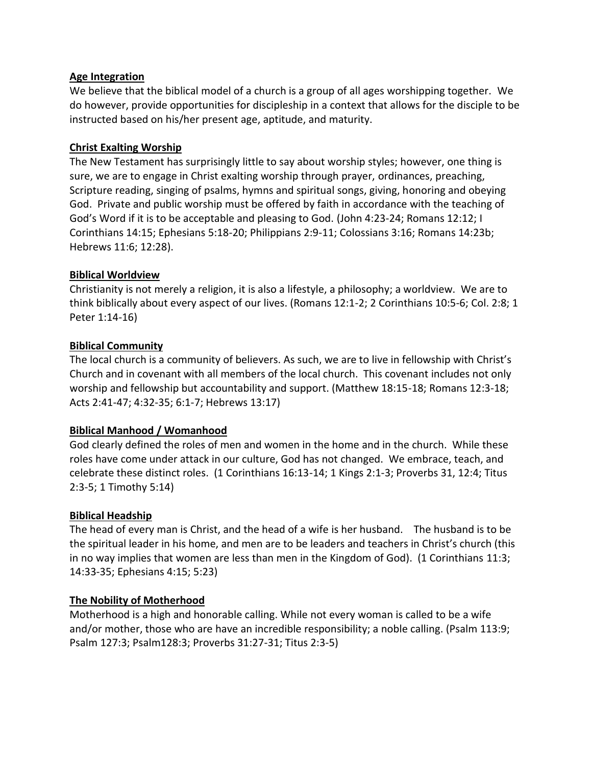## **Age Integration**

We believe that the biblical model of a church is a group of all ages worshipping together. We do however, provide opportunities for discipleship in a context that allows for the disciple to be instructed based on his/her present age, aptitude, and maturity.

## **Christ Exalting Worship**

The New Testament has surprisingly little to say about worship styles; however, one thing is sure, we are to engage in Christ exalting worship through prayer, ordinances, preaching, Scripture reading, singing of psalms, hymns and spiritual songs, giving, honoring and obeying God. Private and public worship must be offered by faith in accordance with the teaching of God's Word if it is to be acceptable and pleasing to God. (John 4:23-24; Romans 12:12; I Corinthians 14:15; Ephesians 5:18-20; Philippians 2:9-11; Colossians 3:16; Romans 14:23b; Hebrews 11:6; 12:28).

## **Biblical Worldview**

Christianity is not merely a religion, it is also a lifestyle, a philosophy; a worldview. We are to think biblically about every aspect of our lives. (Romans 12:1-2; 2 Corinthians 10:5-6; Col. 2:8; 1 Peter 1:14-16)

## **Biblical Community**

The local church is a community of believers. As such, we are to live in fellowship with Christ's Church and in covenant with all members of the local church. This covenant includes not only worship and fellowship but accountability and support. (Matthew 18:15-18; Romans 12:3-18; Acts 2:41-47; 4:32-35; 6:1-7; Hebrews 13:17)

# **Biblical Manhood / Womanhood**

God clearly defined the roles of men and women in the home and in the church. While these roles have come under attack in our culture, God has not changed. We embrace, teach, and celebrate these distinct roles. (1 Corinthians 16:13-14; 1 Kings 2:1-3; Proverbs 31, 12:4; Titus 2:3-5; 1 Timothy 5:14)

#### **Biblical Headship**

The head of every man is Christ, and the head of a wife is her husband. The husband is to be the spiritual leader in his home, and men are to be leaders and teachers in Christ's church (this in no way implies that women are less than men in the Kingdom of God). (1 Corinthians 11:3; 14:33-35; Ephesians 4:15; 5:23)

# **The Nobility of Motherhood**

Motherhood is a high and honorable calling. While not every woman is called to be a wife and/or mother, those who are have an incredible responsibility; a noble calling. (Psalm 113:9; Psalm 127:3; Psalm128:3; Proverbs 31:27-31; Titus 2:3-5)